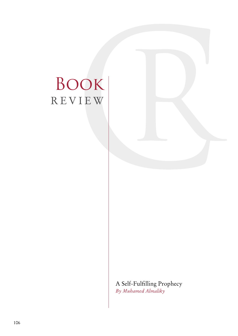# Book REVIEW

A Self-Fulfilling Prophecy *By Muhamed Almaliky*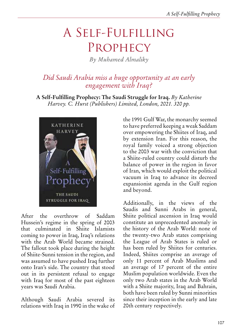## A Self-Fulfilling **PROPHECY**

*By Muhamed Almaliky*

### *Did Saudi Arabia miss a huge opportunity at an early engagement with Iraq?*

**A Self-Fulfilling Prophecy: The Saudi Struggle for Iraq.** *By Katherine Harvey. C. Hurst (Publishers) Limited, London, 2021. 320 pp.*



After the overthrow of Saddam Hussein's regime in the spring of 2003 that culminated in Shiite Islamists coming to power in Iraq, Iraq's relations with the Arab World became strained. The fallout took place during the height of Shiite-Sunni tension in the region, and was assumed to have pushed Iraq further onto Iran's side. The country that stood out in its persistent refusal to engage with Iraq for most of the past eighteen years was Saudi Arabia.

Although Saudi Arabia severed its relations with Iraq in 1990 in the wake of the 1991 Gulf War, the monarchy seemed to have preferred keeping a weak Saddam over empowering the Shiites of Iraq, and by extension Iran. For this reason, the royal family voiced a strong objection to the 2003 war with the conviction that a Shiite-ruled country could disturb the balance of power in the region in favor of Iran, which would exploit the political vacuum in Iraq to advance its decreed expansionist agenda in the Gulf region and beyond.

Additionally, in the views of the Saudis and Sunni Arabs in general, Shiite political ascension in Iraq would constitute an unprecedented anomaly in the history of the Arab World: none of the twenty-two Arab states comprising the League of Arab States is ruled or has been ruled by Shiites for centuries. Indeed, Shiites comprise an average of only 11 percent of Arab Muslims and an average of 17 percent of the entire Muslim population worldwide. Even the only two Arab states in the Arab World with a Shiite majority, Iraq and Bahrain, both have been ruled by Sunni minorities since their inception in the early and late 20th century respectively.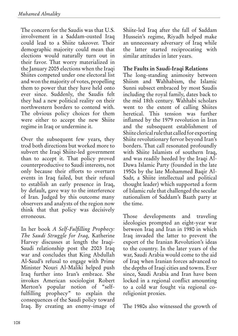The concern for the Saudis was that U.S. involvement in a Saddam-ousted Iraq could lead to a Shiite takeover. Their demographic majority could mean that elections would naturally turn out in their favor. That worry materialized in the January 2005 elections when the Iraqi Shiites competed under one electoral list and won the majority of votes, propelling them to power that they have held onto ever since. Suddenly, the Saudis felt they had a new political reality on their northwestern borders to contend with. The obvious policy choices for them were either to accept the new Shiite regime in Iraq or undermine it.

Over the subsequent few years, they trod both directions but worked more to subvert the Iraqi Shiite-led government than to accept it. That policy proved counterproductive to Saudi interests, not only because their efforts to overturn events in Iraq failed, but their refusal to establish an early presence in Iraq, by default, gave way to the interference of Iran. Judged by this outcome many observers and analysts of the region now think that that policy was decisively erroneous.

In her book *A Self-Fulfilling Prophecy: The Saudi Struggle for Iraq,* Katherine Harvey discusses at length the Iraqi-Saudi relationship post the 2003 Iraq war and concludes that King Abdullah Al-Saud's refusal to engage with Prime Minister Nouri Al-Maliki helped push Iraq further into Iran's embrace. She invokes American sociologist Robert Merton's popular notion of "selffulfilling prophecy" to explain the consequences of the Saudi policy toward Iraq. By creating an enemy-image of Shiite-led Iraq after the fall of Saddam Hussein's regime, Riyadh helped make an unnecessary adversary of Iraq while the latter started reciprocating with similar attitudes in later years.

#### **The Faults in Saudi-Iraqi Relations**

The long-standing animosity between Shiism and Wahhabism, the Islamic Sunni subsect embraced by most Saudis including the royal family, dates back to the mid 18th century. Wahhabi scholars went to the extent of calling Shiites heretical. This tension was further inflamed by the 1979 revolution in Iran and the subsequent establishment of Shiite clerical rule that called for exporting Shiite revolutionary fervor beyond Iran's borders. That call resonated profoundly with Shiite Islamists of southern Iraq, and was readily heeded by the Iraqi Al-Dawa Islamic Party (founded in the late 1950s by the late Mohammed Baqir Al-Sadr, a Shiite intellectual and political thought leader) which supported a form of Islamic rule that challenged the secular nationalism of Saddam's Baath party at the time.

Those developments and traveling ideologies prompted an eight-year war between Iraq and Iran in 1980 in which Iraq invaded the latter to prevent the export of the Iranian Revolution's ideas to the country. In the later years of the war, Saudi Arabia would come to the aid of Iraq when Iranian forces advanced to the depths of Iraqi cities and towns. Ever since, Saudi Arabia and Iran have been locked in a regional conflict amounting to a cold war fought via regional coreligionist proxies.

The 1980s also witnessed the growth of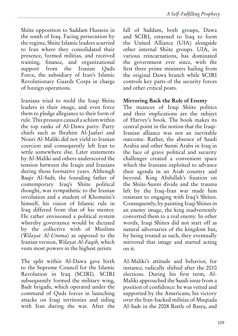Shiite opposition to Saddam Hussein in the south of Iraq. Facing persecution by the regime, Shiite Islamic leaders scurried to Iran where they consolidated their presence, formed militias, and received training, finance, and organizational support from the Iranian Quds Force, the subsidiary of Iran's Islamic Revolutionary Guards Corps in charge of foreign operations.

Iranians tried to mold the Iraqi Shiite leaders in their image, and even force them to pledge allegiance to their form of rule. This pressure caused a schism within the top ranks of Al-Dawa party. Party chiefs such as Ibrahim Al-Jaafari and Nouri Al-Maliki did not yield to Iranian coercion and consequently left Iran to settle somewhere else. Later statements by Al-Maliki and others underscored the tension between the Iraqis and Iranians during those formative years. Although Baqir Al-Sadr, the founding father of contemporary Iraq's Shiite political thought, was sympathetic to the Iranian revolution and a student of Khomeini's himself, his vision of Islamic rule in Iraq differed from that of his mentor. He rather envisioned a political system whereby governance would be dictated by the collective wish of Muslims (*Wilayat Al-Umma*) as opposed to the Iranian version, *Wilayat Al-Faqih,* which vests most powers in the highest jurists.

The split within Al-Dawa gave birth to the Supreme Council for the Islamic Revolution in Iraq (SCIRI). SCIRI subsequently formed the military wing, Badr brigade, which operated under the command of Quds forces in launching attacks on Iraqi territories and siding with Iran during the war. After the fall of Saddam, both groups, Dawa and SCIRI, returned to Iraq to form the United Alliance (UIA) alongside other internal Shiite groups. UIA, in various reincarnations, has dominated the government ever since, with the first three prime ministers hailing from the original Dawa branch while SCIRI controls key parts of the security forces and other critical posts.

#### **Mirroring Back the Role of Enemy**

The nuances of Iraqi Shiite politics and their implications are the subject of Harvey's book. The book makes its central point in the notion that the Iraqi-Iranian alliance was not an inevitable outcome. Rather, the absence of Saudi Arabia and other Sunni Arabs in Iraq in the face of grave political and security challenges created a convenient space which the Iranians exploited to advance their agenda in an Arab country and beyond. King Abdullah's fixation on the Shiite-Sunni divide and the trauma left by the Iraq–Iran war made him resistant to engaging with Iraq's Shiites. Consequently, by painting Iraqi Shiites in an enemy image, the king inadvertently converted them to a real enemy. In other words, Iraqi Shiites did not start off as natural adversaries of the kingdom but, by being treated as such, they eventually mirrored that image and started acting on it.

Al-Maliki's attitude and behavior, for instance, radically shifted after the 2010 elections. During his first term, Al-Maliki approached the Saudi issue from a position of confidence: he was vetted and supported by the Americans; his victory over the Iran-backed militias of Muqtada Al-Sadr in the 2008 Battle of Basra, and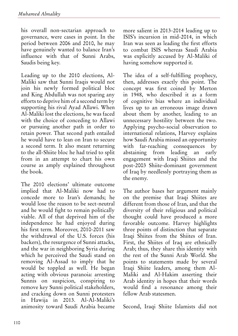his overall non-sectarian approach to governance, were cases in point. In the period between 2006 and 2010, he may have genuinely wanted to balance Iran's influence with that of Sunni Arabs, Saudis being key.

Leading up to the 2010 elections, Al-Maliki saw that Sunni Iraqis would not join his newly formed political bloc and King Abdullah was not sparing any efforts to deprive him of a second term by supporting his rival Ayad Allawi. When Al-Maliki lost the elections, he was faced with the choice of conceding to Allawi or pursuing another path in order to retain power. That second path entailed he would have to lean on Iran to secure a second term. It also meant returning to the all-Shiite bloc he had tried to split from in an attempt to chart his own course as amply explained throughout the book.

The 2010 elections' ultimate outcome implied that Al-Maliki now had to concede more to Iran's demands; he would lose the reason to be sect-neutral and he would fight to remain politically viable. All of that deprived him of the independence he had enjoyed during his first term. Moreover, 2010-2011 saw the withdrawal of the U.S. forces (his backers), the resurgence of Sunni attacks, and the war in neighboring Syria during which he perceived the Saudi stand on removing Al-Assad to imply that he would be toppled as well. He began acting with obvious paranoia: arresting Sunnis on suspicion, conspiring to remove key Sunni political stakeholders, and cracking down on Sunni protesters in Hawija in 2013. Al-Al-Maliki's animosity toward Saudi Arabia became more salient in 2013-2014 leading up to ISIS's incursion in mid-2014, in which Iran was seen as leading the first efforts to combat ISIS whereas Saudi Arabia was explicitly accused by Al-Maliki of having somehow supported it.

The idea of a self-fulfilling prophecy, then, addresses exactly this point. The concept was first coined by Merton in 1948, who described it as a form of cognitive bias where an individual lives up to an erroneous image drawn about them by another, leading to an unnecessary hostility between the two. Applying psycho-social observation to international relations, Harvey explains how Saudi Arabia missed an opportunity with far-reaching consequences by abstaining from leading an early engagement with Iraqi Shiites and the post-2003 Shiite-dominant government of Iraq by needlessly portraying them as the enemy.

The author bases her argument mainly on the premise that Iraqi Shiites are different from those of Iran, and that the diversity of their religious and political thought could have produced a more favorable outcome. Harvey highlights three points of distinction that separate Iraqi Shiites from the Shiites of Iran. First, the Shiites of Iraq are ethnically Arab; thus, they share this identity with the rest of the Sunni Arab World. She points to statements made by several Iraqi Shiite leaders, among them Al-Maliki and Al-Hakim asserting their Arab identity in hopes that their words would find a resonance among their fellow Arab statesmen.

Second, Iraqi Shiite Islamists did not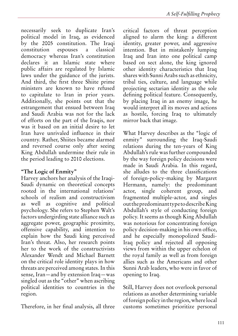necessarily seek to duplicate Iran's political model in Iraq, as evidenced by the 2005 constitution. The Iraqi constitution espouses a classical democracy whereas Iran's constitution declares it an Islamic state where public affairs are regulated by Islamic laws under the guidance of the jurists. And third, the first three Shiite prime ministers are known to have refused to capitulate to Iran in prior years. Additionally, she points out that the estrangement that ensued between Iraq and Saudi Arabia was not for the lack of efforts on the part of the Iraqis, nor was it based on an initial desire to let Iran have unrivaled influence in their country. Rather, Shiites became alarmed and reversed course only after seeing King Abdullah undermine their rule in the period leading to 2010 elections.

#### **"The Logic of Enmity"**

Harvey anchors her analysis of the Iraqi-Saudi dynamic on theoretical concepts rooted in the international relations' schools of realism and constructivism as well as cognitive and political psychology. She refers to Stephen Walt's factors undergirding state alliance such as aggregate power, geographic proximity, offensive capability, and intention to explain how the Saudi king perceived Iran's threat. Also, her research points her to the work of the constructivists Alexander Wendt and Michael Barnett on the critical role identity plays in how threats are perceived among states. In this sense, Iran—and by extension Iraq—was singled out as the "other" when ascribing political identities to countries in the region.

Therefore, in her final analysis, all three

critical factors of threat perception aligned to alarm the king: a different identity, greater power, and aggressive intention. But in mistakenly lumping Iraq and Iran into one political camp based on sect alone, the king ignored other identity characteristics that Iraq shares with Sunni Arabs such as ethnicity, tribal ties, culture, and language while projecting sectarian identity as the sole defining political feature. Consequently, by placing Iraq in an enemy image, he would interpret all its moves and actions as hostile, forcing Iraq to ultimately mirror back that image.

What Harvey describes as the "logic of enmity" surrounding the Iraq-Saudi relations during the ten-years of King Abdullah's rule was further compounded by the way foreign policy decisions were made in Saudi Arabia. In this regard, she alludes to the three classifications of foreign-policy-making by Margaret Hermann, namely: the predominant actor, single coherent group, and fragmented multiple-actor, and singles out the predominant type to describe King Abdullah's style of conducting foreign policy. It seems as though King Abdullah was notorious for concentrating foreign policy decision-making in his own office, and he especially monopolized Saudi-Iraq policy and rejected all opposing views from within the upper echelon of the royal family as well as from foreign allies such as the Americans and other Sunni Arab leaders, who were in favor of opening to Iraq.

Still, Harvey does not overlook personal relations as another determining variable of foreign policy in the region, where local customs sometimes prioritize personal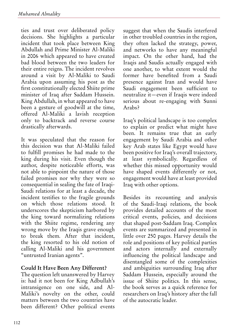ties and trust over deliberated policy decisions. She highlights a particular incident that took place between King Abdullah and Prime Minister Al-Maliki in 2006 which appeared to have created bad blood between the two leaders for their entire reigns. The incident revolves around a visit by Al-Maliki to Saudi Arabia upon assuming his post as the first constitutionally elected Shiite prime minister of Iraq after Saddam Hussein. King Abdullah, in what appeared to have been a gesture of goodwill at the time, offered Al-Maliki a lavish reception only to backtrack and reverse course drastically afterwards.

It was speculated that the reason for this decision was that Al-Maliki failed to fulfill promises he had made to the king during his visit. Even though the author, despite noticeable efforts, was not able to pinpoint the nature of those failed promises nor why they were so consequential in sealing the fate of Iraqi-Saudi relations for at least a decade, the incident testifies to the fragile grounds on which those relations stood. It underscores the skepticism harbored by the king toward normalizing relations with the Shiite regime, rendering any wrong move by the Iraqis grave enough to break them. After that incident, the king resorted to his old notion of calling Al-Maliki and his government "untrusted Iranian agents".

#### **Could It Have Been Any Different?**

The question left unanswered by Harvey is: had it not been for King Adbullah's intransigence on one side, and Al-Maliki's novelty on the other, could matters between the two countries have been different? Other political events

suggest that when the Saudis interfered in other troubled countries in the region, they often lacked the strategy, power, and networks to have any meaningful impact. On the other hand, had the Iraqis and Saudis actually engaged with one another, to what extent would the former have benefited from a Saudi presence against Iran and would have Saudi engagement been sufficient to neutralize it—even if Iraqis were indeed serious about re-engaging with Sunni Arabs?

Iraq's political landscape is too complex to explain or predict what might have been. It remains true that an early engagement by Saudi Arabia and other key Arab states like Egypt would have been positive for Iraq's overall trajectory, at least symbolically. Regardless of whether this missed opportunity would have shaped events differently or not, engagement would have at least provided Iraq with other options.

Besides its recounting and analysis of the Saudi-Iraqi relations, the book provides detailed accounts of the most critical events, policies, and decisions that shaped post-Saddam Iraq. Complex events are summarized and presented in little over 250 pages. Harvey details the role and positions of key political parties and actors internally and externally influencing the political landscape and disentangled some of the complexities and ambiguities surrounding Iraq after Saddam Hussein, especially around the issue of Shiite politics. In this sense, the book serves as a quick reference for researchers on Iraq's history after the fall of the autocratic leader.